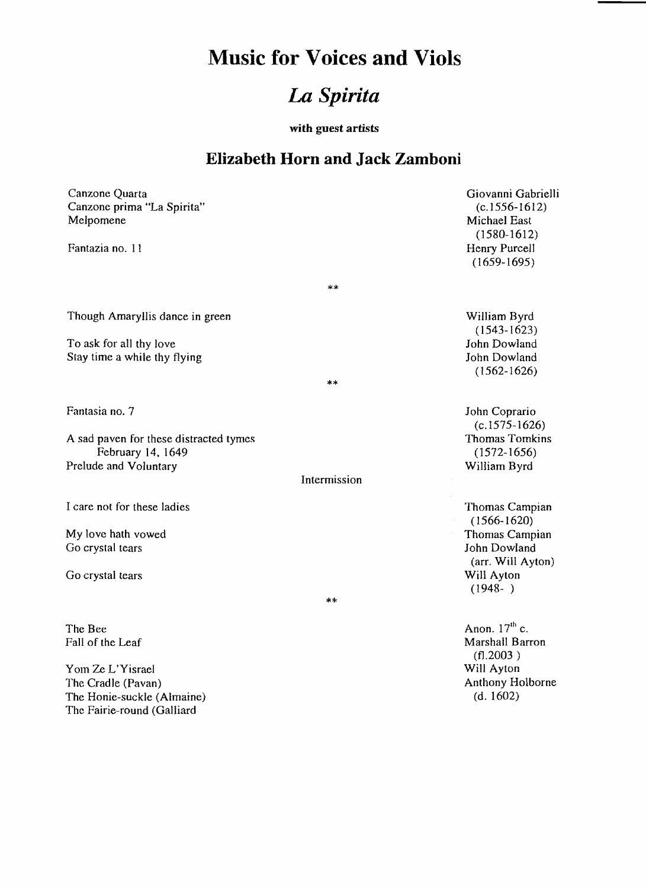## **Music for Voices and Viols**

## **La** *Spirita*

with guest artists

## **Elizabeth Horn and Jack Zamboni**

| Canzone Quarta<br>Canzone prima "La Spirita"<br>Melpomene<br>Fantazia no. 11 | Giovanni Gabrielli<br>$(c.1556-1612)$<br>Michael East<br>$(1580-1612)$<br>Henry Purcell |
|------------------------------------------------------------------------------|-----------------------------------------------------------------------------------------|
|                                                                              | $(1659-1695)$                                                                           |
| **                                                                           |                                                                                         |
| Though Amaryllis dance in green                                              | William Byrd<br>$(1543 - 1623)$                                                         |
| To ask for all thy love                                                      | John Dowland                                                                            |
| Stay time a while thy flying                                                 | John Dowland                                                                            |
| **                                                                           | $(1562 - 1626)$                                                                         |
| Fantasia no. 7                                                               | John Coprario<br>$(c.1575-1626)$                                                        |
| A sad paven for these distracted tymes<br>February 14, 1649                  | <b>Thomas Tomkins</b><br>$(1572 - 1656)$                                                |
| Prelude and Voluntary                                                        | William Byrd                                                                            |
| Intermission                                                                 |                                                                                         |
| I care not for these ladies                                                  | Thomas Campian<br>$(1566 - 1620)$                                                       |
| My love hath vowed                                                           | Thomas Campian                                                                          |
| Go crystal tears                                                             | John Dowland<br>(arr. Will Ayton)                                                       |
| Go crystal tears                                                             | Will Ayton<br>$(1948- )$                                                                |
| **                                                                           |                                                                                         |
| The Bee                                                                      | Anon. $17th$ c.                                                                         |
| Fall of the Leaf                                                             | Marshall Barron<br>(f1.2003)                                                            |

Will Ayton

Anthony Holborne (d. 1602)

Yom Ze L'Yisrael The Cradle (Pavan) The Honie-suckle (Almaine) The Fairie-round (Galliard